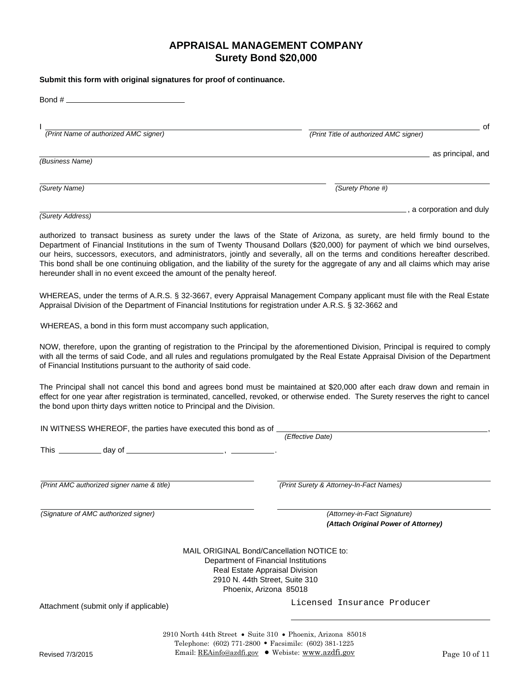## **APPRAISAL MANAGEMENT COMPANY Surety Bond \$20,000**

## **Submit this form with original signatures for proof of continuance.**

| Bond #                                |                                              |
|---------------------------------------|----------------------------------------------|
| (Print Name of authorized AMC signer) | 0f<br>(Print Title of authorized AMC signer) |
| (Business Name)                       | as principal, and                            |
| (Surety Name)                         | (Surety Phone #)                             |
| (Surety Address)                      | , a corporation and duly                     |

authorized to transact business as surety under the laws of the State of Arizona, as surety, are held firmly bound to the Department of Financial Institutions in the sum of Twenty Thousand Dollars (\$20,000) for payment of which we bind ourselves, our heirs, successors, executors, and administrators, jointly and severally, all on the terms and conditions hereafter described. This bond shall be one continuing obligation, and the liability of the surety for the aggregate of any and all claims which may arise hereunder shall in no event exceed the amount of the penalty hereof.

WHEREAS, under the terms of A.R.S. § 32-3667, every Appraisal Management Company applicant must file with the Real Estate Appraisal Division of the Department of Financial Institutions for registration under A.R.S. § 32-3662 and

WHEREAS, a bond in this form must accompany such application,

NOW, therefore, upon the granting of registration to the Principal by the aforementioned Division, Principal is required to comply with all the terms of said Code, and all rules and regulations promulgated by the Real Estate Appraisal Division of the Department of Financial Institutions pursuant to the authority of said code.

The Principal shall not cancel this bond and agrees bond must be maintained at \$20,000 after each draw down and remain in effect for one year after registration is terminated, cancelled, revoked, or otherwise ended. The Surety reserves the right to cancel the bond upon thirty days written notice to Principal and the Division.

| IN WITNESS WHEREOF, the parties have executed this bond as of _                                                                                                                  | (Effective Date)                                                    |
|----------------------------------------------------------------------------------------------------------------------------------------------------------------------------------|---------------------------------------------------------------------|
|                                                                                                                                                                                  |                                                                     |
| (Print AMC authorized signer name & title)                                                                                                                                       | (Print Surety & Attorney-In-Fact Names)                             |
| (Signature of AMC authorized signer)                                                                                                                                             | (Attorney-in-Fact Signature)<br>(Attach Original Power of Attorney) |
| MAIL ORIGINAL Bond/Cancellation NOTICE to:<br>Department of Financial Institutions<br>Real Estate Appraisal Division<br>2910 N. 44th Street, Suite 310<br>Phoenix, Arizona 85018 |                                                                     |
| Attachment (submit only if applicable)                                                                                                                                           | Licensed Insurance Producer                                         |
| 2910 North 44th Street • Suite 310 • Phoenix, Arizona 85018<br>Telephone: (602) 771-2800 • Facsimile: (602) 381-1225                                                             |                                                                     |

Telephone: (602) 771-2800 • Facsimile: (602) 381-1225<br>Email: <u>REAinfo@azdfi.gov</u> ● Webiste: <u>www.azdfi.gov</u>  $\sum_{\ell=1}^{N}$